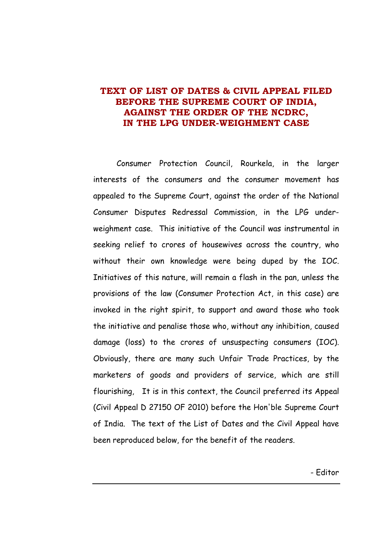# **TEXT OF LIST OF DATES & CIVIL APPEAL FILED BEFORE THE SUPREME COURT OF INDIA, AGAINST THE ORDER OF THE NCDRC, IN THE LPG UNDER-WEIGHMENT CASE**

Consumer Protection Council, Rourkela, in the larger interests of the consumers and the consumer movement has appealed to the Supreme Court, against the order of the National Consumer Disputes Redressal Commission, in the LPG underweighment case. This initiative of the Council was instrumental in seeking relief to crores of housewives across the country, who without their own knowledge were being duped by the IOC. Initiatives of this nature, will remain a flash in the pan, unless the provisions of the law (Consumer Protection Act, in this case) are invoked in the right spirit, to support and award those who took the initiative and penalise those who, without any inhibition, caused damage (loss) to the crores of unsuspecting consumers (IOC). Obviously, there are many such Unfair Trade Practices, by the marketers of goods and providers of service, which are still flourishing, It is in this context, the Council preferred its Appeal (Civil Appeal D 27150 OF 2010) before the Hon'ble Supreme Court of India. The text of the List of Dates and the Civil Appeal have been reproduced below, for the benefit of the readers.

- Editor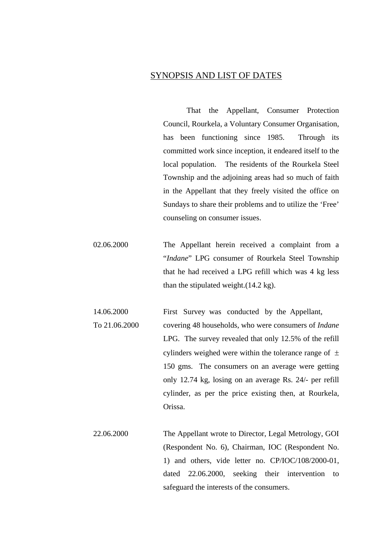## SYNOPSIS AND LIST OF DATES

That the Appellant, Consumer Protection Council, Rourkela, a Voluntary Consumer Organisation, has been functioning since 1985. Through its committed work since inception, it endeared itself to the local population. The residents of the Rourkela Steel Township and the adjoining areas had so much of faith in the Appellant that they freely visited the office on Sundays to share their problems and to utilize the 'Free' counseling on consumer issues.

02.06.2000 The Appellant herein received a complaint from a "*Indane*" LPG consumer of Rourkela Steel Township that he had received a LPG refill which was 4 kg less than the stipulated weight.(14.2 kg).

14.06.2000 First Survey was conducted by the Appellant, To 21.06.2000 covering 48 households, who were consumers of *Indane* LPG. The survey revealed that only 12.5% of the refill cylinders weighed were within the tolerance range of  $\pm$ 150 gms. The consumers on an average were getting only 12.74 kg, losing on an average Rs. 24/- per refill cylinder, as per the price existing then, at Rourkela, Orissa.

22.06.2000 The Appellant wrote to Director, Legal Metrology, GOI (Respondent No. 6), Chairman, IOC (Respondent No. 1) and others, vide letter no. CP/IOC/108/2000-01, dated 22.06.2000, seeking their intervention to safeguard the interests of the consumers.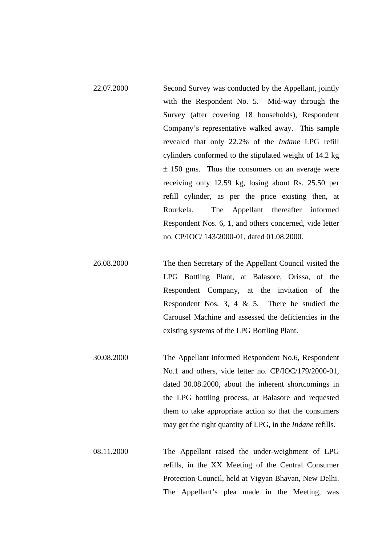- 22.07.2000 Second Survey was conducted by the Appellant, jointly with the Respondent No. 5. Mid-way through the Survey (after covering 18 households), Respondent Company's representative walked away. This sample revealed that only 22.2% of the *Indane* LPG refill cylinders conformed to the stipulated weight of 14.2 kg  $\pm$  150 gms. Thus the consumers on an average were receiving only 12.59 kg, losing about Rs. 25.50 per refill cylinder, as per the price existing then, at Rourkela. The Appellant thereafter informed Respondent Nos. 6, 1, and others concerned, vide letter no. CP/IOC/ 143/2000-01, dated 01.08.2000.
- 26.08.2000 The then Secretary of the Appellant Council visited the LPG Bottling Plant, at Balasore, Orissa, of the Respondent Company, at the invitation of the Respondent Nos. 3, 4  $\&$  5. There he studied the Carousel Machine and assessed the deficiencies in the existing systems of the LPG Bottling Plant.
- 30.08.2000 The Appellant informed Respondent No.6, Respondent No.1 and others, vide letter no. CP/IOC/179/2000-01, dated 30.08.2000, about the inherent shortcomings in the LPG bottling process, at Balasore and requested them to take appropriate action so that the consumers may get the right quantity of LPG, in the *Indane* refills.
- 08.11.2000 The Appellant raised the under-weighment of LPG refills, in the XX Meeting of the Central Consumer Protection Council, held at Vigyan Bhavan, New Delhi. The Appellant's plea made in the Meeting, was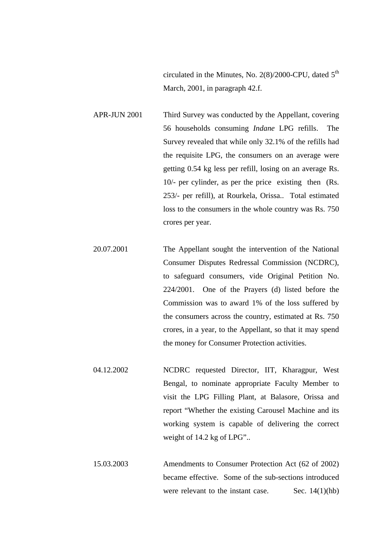circulated in the Minutes, No.  $2(8)/2000$ -CPU, dated  $5<sup>th</sup>$ March, 2001, in paragraph 42.f.

APR-JUN 2001 Third Survey was conducted by the Appellant, covering 56 households consuming *Indane* LPG refills. The Survey revealed that while only 32.1% of the refills had the requisite LPG, the consumers on an average were getting 0.54 kg less per refill, losing on an average Rs. 10/- per cylinder, as per the price existing then (Rs. 253/- per refill), at Rourkela, Orissa.. Total estimated loss to the consumers in the whole country was Rs. 750 crores per year.

20.07.2001 The Appellant sought the intervention of the National Consumer Disputes Redressal Commission (NCDRC), to safeguard consumers, vide Original Petition No. 224/2001. One of the Prayers (d) listed before the Commission was to award 1% of the loss suffered by the consumers across the country, estimated at Rs. 750 crores, in a year, to the Appellant, so that it may spend the money for Consumer Protection activities.

- 04.12.2002 NCDRC requested Director, IIT, Kharagpur, West Bengal, to nominate appropriate Faculty Member to visit the LPG Filling Plant, at Balasore, Orissa and report "Whether the existing Carousel Machine and its working system is capable of delivering the correct weight of 14.2 kg of LPG"..
- 15.03.2003 Amendments to Consumer Protection Act (62 of 2002) became effective. Some of the sub-sections introduced were relevant to the instant case. Sec.  $14(1)(hb)$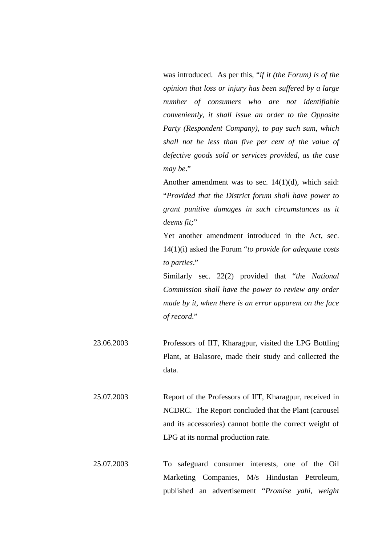was introduced. As per this, "*if it (the Forum) is of the opinion that loss or injury has been suffered by a large number of consumers who are not identifiable conveniently, it shall issue an order to the Opposite Party (Respondent Company), to pay such sum, which shall not be less than five per cent of the value of defective goods sold or services provided, as the case may be*."

Another amendment was to sec. 14(1)(d), which said: "*Provided that the District forum shall have power to grant punitive damages in such circumstances as it deems fit;*"

Yet another amendment introduced in the Act, sec. 14(1)(i) asked the Forum "*to provide for adequate costs to parties*."

Similarly sec. 22(2) provided that "*the National Commission shall have the power to review any order made by it, when there is an error apparent on the face of record*."

23.06.2003 Professors of IIT, Kharagpur, visited the LPG Bottling Plant, at Balasore, made their study and collected the data.

25.07.2003 Report of the Professors of IIT, Kharagpur, received in NCDRC. The Report concluded that the Plant (carousel and its accessories) cannot bottle the correct weight of LPG at its normal production rate.

25.07.2003 To safeguard consumer interests, one of the Oil Marketing Companies, M/s Hindustan Petroleum, published an advertisement "*Promise yahi, weight*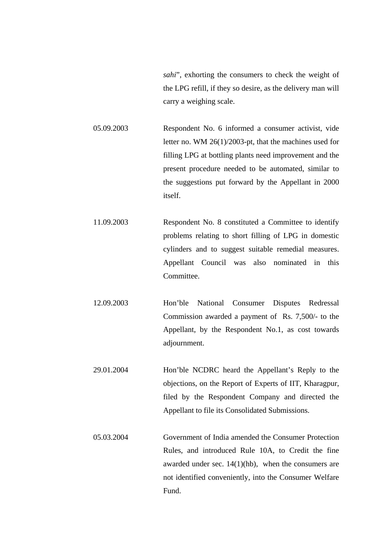*sahi*", exhorting the consumers to check the weight of the LPG refill, if they so desire, as the delivery man will carry a weighing scale.

05.09.2003 Respondent No. 6 informed a consumer activist, vide letter no. WM 26(1)/2003-pt, that the machines used for filling LPG at bottling plants need improvement and the present procedure needed to be automated, similar to the suggestions put forward by the Appellant in 2000 itself.

11.09.2003 Respondent No. 8 constituted a Committee to identify problems relating to short filling of LPG in domestic cylinders and to suggest suitable remedial measures. Appellant Council was also nominated in this Committee.

12.09.2003 Hon'ble National Consumer Disputes Redressal Commission awarded a payment of Rs. 7,500/- to the Appellant, by the Respondent No.1, as cost towards adjournment.

29.01.2004 Hon'ble NCDRC heard the Appellant's Reply to the objections, on the Report of Experts of IIT, Kharagpur, filed by the Respondent Company and directed the Appellant to file its Consolidated Submissions.

05.03.2004 Government of India amended the Consumer Protection Rules, and introduced Rule 10A, to Credit the fine awarded under sec.  $14(1)(hb)$ , when the consumers are not identified conveniently, into the Consumer Welfare Fund.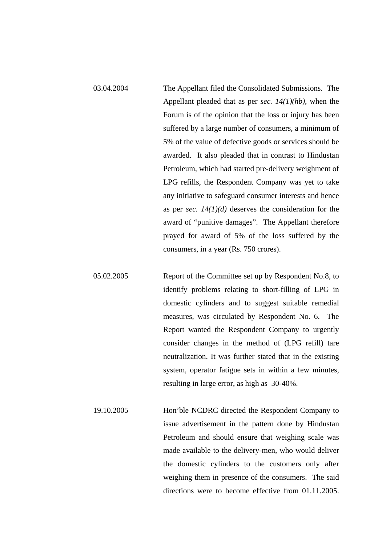- 03.04.2004 The Appellant filed the Consolidated Submissions. The Appellant pleaded that as per *sec. 14(1)(hb)*, when the Forum is of the opinion that the loss or injury has been suffered by a large number of consumers, a minimum of 5% of the value of defective goods or services should be awarded. It also pleaded that in contrast to Hindustan Petroleum, which had started pre-delivery weighment of LPG refills, the Respondent Company was yet to take any initiative to safeguard consumer interests and hence as per *sec. 14(1)(d)* deserves the consideration for the award of "punitive damages". The Appellant therefore prayed for award of 5% of the loss suffered by the consumers, in a year (Rs. 750 crores).
- 05.02.2005 Report of the Committee set up by Respondent No.8, to identify problems relating to short-filling of LPG in domestic cylinders and to suggest suitable remedial measures, was circulated by Respondent No. 6. The Report wanted the Respondent Company to urgently consider changes in the method of (LPG refill) tare neutralization. It was further stated that in the existing system, operator fatigue sets in within a few minutes, resulting in large error, as high as 30-40%.
	- 19.10.2005 Hon'ble NCDRC directed the Respondent Company to issue advertisement in the pattern done by Hindustan Petroleum and should ensure that weighing scale was made available to the delivery-men, who would deliver the domestic cylinders to the customers only after weighing them in presence of the consumers. The said directions were to become effective from 01.11.2005.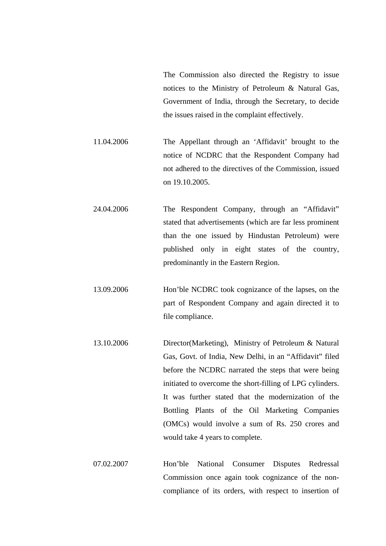The Commission also directed the Registry to issue notices to the Ministry of Petroleum & Natural Gas, Government of India, through the Secretary, to decide the issues raised in the complaint effectively.

11.04.2006 The Appellant through an 'Affidavit' brought to the notice of NCDRC that the Respondent Company had not adhered to the directives of the Commission, issued on 19.10.2005.

24.04.2006 The Respondent Company, through an "Affidavit" stated that advertisements (which are far less prominent than the one issued by Hindustan Petroleum) were published only in eight states of the country, predominantly in the Eastern Region.

13.09.2006 Hon'ble NCDRC took cognizance of the lapses, on the part of Respondent Company and again directed it to file compliance.

- 13.10.2006 Director(Marketing), Ministry of Petroleum & Natural Gas, Govt. of India, New Delhi, in an "Affidavit" filed before the NCDRC narrated the steps that were being initiated to overcome the short-filling of LPG cylinders. It was further stated that the modernization of the Bottling Plants of the Oil Marketing Companies (OMCs) would involve a sum of Rs. 250 crores and would take 4 years to complete.
- 07.02.2007 Hon'ble National Consumer Disputes Redressal Commission once again took cognizance of the noncompliance of its orders, with respect to insertion of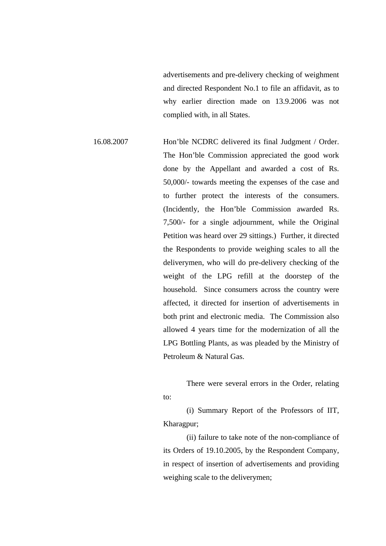advertisements and pre-delivery checking of weighment and directed Respondent No.1 to file an affidavit, as to why earlier direction made on 13.9.2006 was not complied with, in all States.

16.08.2007 Hon'ble NCDRC delivered its final Judgment / Order. The Hon'ble Commission appreciated the good work done by the Appellant and awarded a cost of Rs. 50,000/- towards meeting the expenses of the case and to further protect the interests of the consumers. (Incidently, the Hon'ble Commission awarded Rs. 7,500/- for a single adjournment, while the Original Petition was heard over 29 sittings.) Further, it directed the Respondents to provide weighing scales to all the deliverymen, who will do pre-delivery checking of the weight of the LPG refill at the doorstep of the household. Since consumers across the country were affected, it directed for insertion of advertisements in both print and electronic media. The Commission also allowed 4 years time for the modernization of all the LPG Bottling Plants, as was pleaded by the Ministry of Petroleum & Natural Gas.

> There were several errors in the Order, relating to:

> (i) Summary Report of the Professors of IIT, Kharagpur;

> (ii) failure to take note of the non-compliance of its Orders of 19.10.2005, by the Respondent Company, in respect of insertion of advertisements and providing weighing scale to the deliverymen;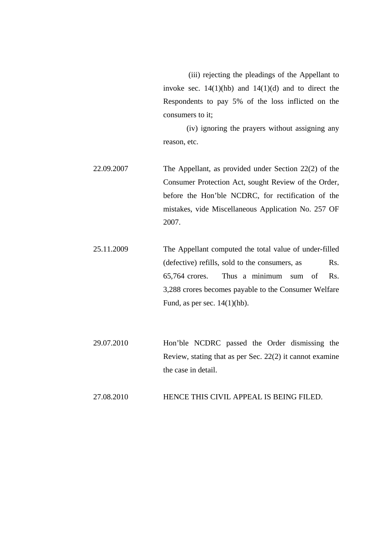(iii) rejecting the pleadings of the Appellant to invoke sec.  $14(1)(hb)$  and  $14(1)(d)$  and to direct the Respondents to pay 5% of the loss inflicted on the consumers to it;

(iv) ignoring the prayers without assigning any reason, etc.

22.09.2007 The Appellant, as provided under Section 22(2) of the Consumer Protection Act, sought Review of the Order, before the Hon'ble NCDRC, for rectification of the mistakes, vide Miscellaneous Application No. 257 OF 2007.

25.11.2009 The Appellant computed the total value of under-filled (defective) refills, sold to the consumers, as Rs. 65,764 crores. Thus a minimum sum of Rs. 3,288 crores becomes payable to the Consumer Welfare Fund, as per sec.  $14(1)(hb)$ .

29.07.2010 Hon'ble NCDRC passed the Order dismissing the Review, stating that as per Sec. 22(2) it cannot examine the case in detail.

#### 27.08.2010 HENCE THIS CIVIL APPEAL IS BEING FILED.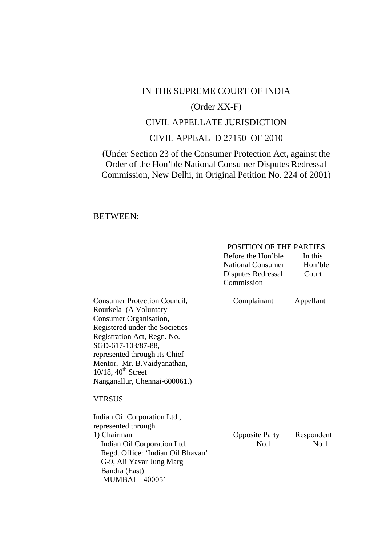## IN THE SUPREME COURT OF INDIA

## (Order XX-F)

# CIVIL APPELLATE JURISDICTION

# CIVIL APPEAL D 27150 OF 2010

(Under Section 23 of the Consumer Protection Act, against the Order of the Hon'ble National Consumer Disputes Redressal Commission, New Delhi, in Original Petition No. 224 of 2001)

## BETWEEN:

## POSITION OF THE PARTIES

|                                                                                                                                                                                                                                                                                                            | Before the Hon'ble<br><b>National Consumer</b><br>Disputes Redressal<br>Commission | In this<br>Hon'ble<br>Court |
|------------------------------------------------------------------------------------------------------------------------------------------------------------------------------------------------------------------------------------------------------------------------------------------------------------|------------------------------------------------------------------------------------|-----------------------------|
| <b>Consumer Protection Council,</b><br>Rourkela (A Voluntary<br>Consumer Organisation,<br>Registered under the Societies<br>Registration Act, Regn. No.<br>SGD-617-103/87-88,<br>represented through its Chief<br>Mentor, Mr. B. Vaidyanathan,<br>$10/18$ , $40th$ Street<br>Nanganallur, Chennai-600061.) | Complainant                                                                        | Appellant                   |
| <b>VERSUS</b>                                                                                                                                                                                                                                                                                              |                                                                                    |                             |
| Indian Oil Corporation Ltd.,<br>represented through<br>1) Chairman<br>Indian Oil Corporation Ltd.<br>Regd. Office: 'Indian Oil Bhavan'<br>G-9, Ali Yavar Jung Marg<br>Bandra (East)<br><b>MUMBAI-400051</b>                                                                                                | <b>Opposite Party</b><br>No.1                                                      | Respondent<br>No.1          |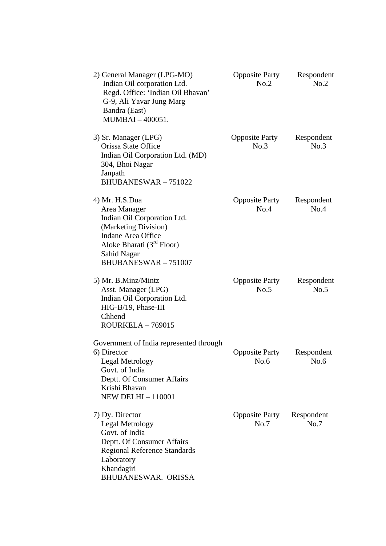| 2) General Manager (LPG-MO)<br>Indian Oil corporation Ltd.<br>Regd. Office: 'Indian Oil Bhavan'<br>G-9, Ali Yavar Jung Marg<br>Bandra (East)<br>MUMBAI-400051.                                            | <b>Opposite Party</b><br>No.2 | Respondent<br>No.2 |
|-----------------------------------------------------------------------------------------------------------------------------------------------------------------------------------------------------------|-------------------------------|--------------------|
| 3) Sr. Manager (LPG)<br>Orissa State Office<br>Indian Oil Corporation Ltd. (MD)<br>304, Bhoi Nagar<br>Janpath<br><b>BHUBANESWAR-751022</b>                                                                | <b>Opposite Party</b><br>No.3 | Respondent<br>No.3 |
| 4) Mr. H.S.Dua<br>Area Manager<br>Indian Oil Corporation Ltd.<br>(Marketing Division)<br><b>Indane Area Office</b><br>Aloke Bharati (3 <sup>rd</sup> Floor)<br>Sahid Nagar<br><b>BHUBANESWAR - 751007</b> | <b>Opposite Party</b><br>No.4 | Respondent<br>No.4 |
| 5) Mr. B.Minz/Mintz<br>Asst. Manager (LPG)<br>Indian Oil Corporation Ltd.<br>HIG-B/19, Phase-III<br>Chhend<br>$ROURKELA - 769015$                                                                         | <b>Opposite Party</b><br>No.5 | Respondent<br>No.5 |
| Government of India represented through<br>6) Director<br><b>Legal Metrology</b><br>Govt. of India<br>Deptt. Of Consumer Affairs<br>Krishi Bhavan<br><b>NEW DELHI - 110001</b>                            | <b>Opposite Party</b><br>No.6 | Respondent<br>No.6 |
| 7) Dy. Director<br>Legal Metrology<br>Govt. of India<br>Deptt. Of Consumer Affairs<br><b>Regional Reference Standards</b><br>Laboratory<br>Khandagiri<br>BHUBANESWAR. ORISSA                              | <b>Opposite Party</b><br>No.7 | Respondent<br>No.7 |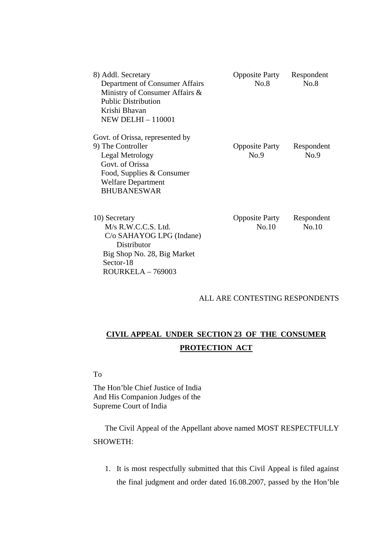| 8) Addl. Secretary<br>Department of Consumer Affairs<br>Ministry of Consumer Affairs &<br><b>Public Distribution</b><br>Krishi Bhavan<br><b>NEW DELHI - 110001</b> | <b>Opposite Party</b><br>No.8 | Respondent<br>No.8 |
|--------------------------------------------------------------------------------------------------------------------------------------------------------------------|-------------------------------|--------------------|
| Govt. of Orissa, represented by                                                                                                                                    |                               |                    |
| 9) The Controller                                                                                                                                                  | <b>Opposite Party</b>         | Respondent         |
| Legal Metrology                                                                                                                                                    | No.9                          | No.9               |
| Govt. of Orissa                                                                                                                                                    |                               |                    |
| Food, Supplies & Consumer                                                                                                                                          |                               |                    |
| <b>Welfare Department</b>                                                                                                                                          |                               |                    |
| <b>BHUBANESWAR</b>                                                                                                                                                 |                               |                    |
| 10) Secretary                                                                                                                                                      | <b>Opposite Party</b>         | Respondent         |
| $M/s$ R.W.C.C.S. Ltd.                                                                                                                                              | No.10                         | No.10              |
| C/o SAHAYOG LPG (Indane)                                                                                                                                           |                               |                    |
| Distributor                                                                                                                                                        |                               |                    |
| Big Shop No. 28, Big Market                                                                                                                                        |                               |                    |
| Sector-18                                                                                                                                                          |                               |                    |

#### ALL ARE CONTESTING RESPONDENTS

# **CIVIL APPEAL UNDER SECTION 23 OF THE CONSUMER PROTECTION ACT**

To

The Hon'ble Chief Justice of India And His Companion Judges of the Supreme Court of India

ROURKELA – 769003

The Civil Appeal of the Appellant above named MOST RESPECTFULLY SHOWETH:

1. It is most respectfully submitted that this Civil Appeal is filed against the final judgment and order dated 16.08.2007, passed by the Hon'ble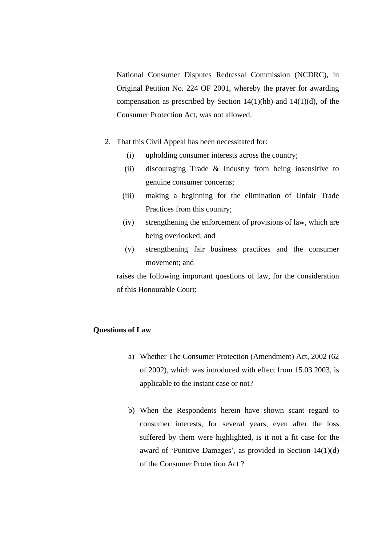National Consumer Disputes Redressal Commission (NCDRC), in Original Petition No. 224 OF 2001, whereby the prayer for awarding compensation as prescribed by Section  $14(1)(hb)$  and  $14(1)(d)$ , of the Consumer Protection Act, was not allowed.

- 2. That this Civil Appeal has been necessitated for:
	- (i) upholding consumer interests across the country;
	- (ii) discouraging Trade & Industry from being insensitive to genuine consumer concerns;
	- (iii) making a beginning for the elimination of Unfair Trade Practices from this country;
	- (iv) strengthening the enforcement of provisions of law, which are being overlooked; and
	- (v) strengthening fair business practices and the consumer movement; and

raises the following important questions of law, for the consideration of this Honourable Court:

#### **Questions of Law**

- a) Whether The Consumer Protection (Amendment) Act, 2002 (62 of 2002), which was introduced with effect from 15.03.2003, is applicable to the instant case or not?
- b) When the Respondents herein have shown scant regard to consumer interests, for several years, even after the loss suffered by them were highlighted, is it not a fit case for the award of 'Punitive Damages', as provided in Section 14(1)(d) of the Consumer Protection Act ?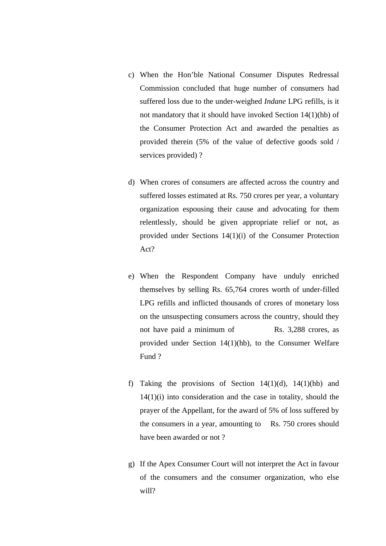- c) When the Hon'ble National Consumer Disputes Redressal Commission concluded that huge number of consumers had suffered loss due to the under-weighed *Indane* LPG refills, is it not mandatory that it should have invoked Section 14(1)(hb) of the Consumer Protection Act and awarded the penalties as provided therein (5% of the value of defective goods sold / services provided) ?
- d) When crores of consumers are affected across the country and suffered losses estimated at Rs. 750 crores per year, a voluntary organization espousing their cause and advocating for them relentlessly, should be given appropriate relief or not, as provided under Sections 14(1)(i) of the Consumer Protection Act?
- e) When the Respondent Company have unduly enriched themselves by selling Rs. 65,764 crores worth of under-filled LPG refills and inflicted thousands of crores of monetary loss on the unsuspecting consumers across the country, should they not have paid a minimum of Rs. 3,288 crores, as provided under Section 14(1)(hb), to the Consumer Welfare Fund ?
- f) Taking the provisions of Section  $14(1)(d)$ ,  $14(1)(hb)$  and  $14(1)(i)$  into consideration and the case in totality, should the prayer of the Appellant, for the award of 5% of loss suffered by the consumers in a year, amounting to Rs. 750 crores should have been awarded or not ?
- g) If the Apex Consumer Court will not interpret the Act in favour of the consumers and the consumer organization, who else will?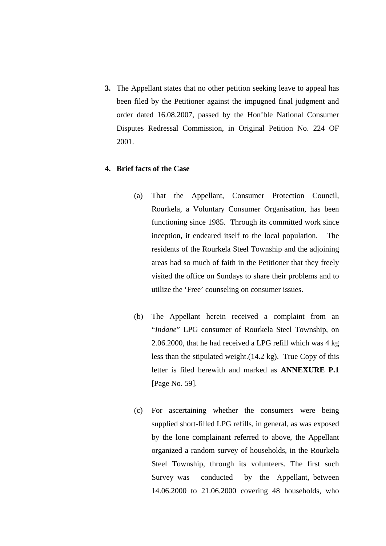**3.** The Appellant states that no other petition seeking leave to appeal has been filed by the Petitioner against the impugned final judgment and order dated 16.08.2007, passed by the Hon'ble National Consumer Disputes Redressal Commission, in Original Petition No. 224 OF 2001.

## **4. Brief facts of the Case**

- (a) That the Appellant, Consumer Protection Council, Rourkela, a Voluntary Consumer Organisation, has been functioning since 1985. Through its committed work since inception, it endeared itself to the local population. The residents of the Rourkela Steel Township and the adjoining areas had so much of faith in the Petitioner that they freely visited the office on Sundays to share their problems and to utilize the 'Free' counseling on consumer issues.
- (b) The Appellant herein received a complaint from an "*Indane*" LPG consumer of Rourkela Steel Township, on 2.06.2000, that he had received a LPG refill which was 4 kg less than the stipulated weight.(14.2 kg). True Copy of this letter is filed herewith and marked as **ANNEXURE P.1** [Page No. 59].
- (c) For ascertaining whether the consumers were being supplied short-filled LPG refills, in general, as was exposed by the lone complainant referred to above, the Appellant organized a random survey of households, in the Rourkela Steel Township, through its volunteers. The first such Survey was conducted by the Appellant, between 14.06.2000 to 21.06.2000 covering 48 households, who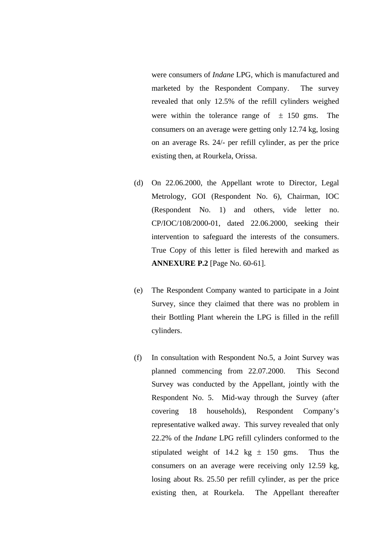were consumers of *Indane* LPG, which is manufactured and marketed by the Respondent Company. The survey revealed that only 12.5% of the refill cylinders weighed were within the tolerance range of  $\pm$  150 gms. The consumers on an average were getting only 12.74 kg, losing on an average Rs. 24/- per refill cylinder, as per the price existing then, at Rourkela, Orissa.

- (d) On 22.06.2000, the Appellant wrote to Director, Legal Metrology, GOI (Respondent No. 6), Chairman, IOC (Respondent No. 1) and others, vide letter no. CP/IOC/108/2000-01, dated 22.06.2000, seeking their intervention to safeguard the interests of the consumers. True Copy of this letter is filed herewith and marked as **ANNEXURE P.2** [Page No. 60-61].
- (e) The Respondent Company wanted to participate in a Joint Survey, since they claimed that there was no problem in their Bottling Plant wherein the LPG is filled in the refill cylinders.
- (f) In consultation with Respondent No.5, a Joint Survey was planned commencing from 22.07.2000. This Second Survey was conducted by the Appellant, jointly with the Respondent No. 5. Mid-way through the Survey (after covering 18 households), Respondent Company's representative walked away. This survey revealed that only 22.2% of the *Indane* LPG refill cylinders conformed to the stipulated weight of 14.2 kg  $\pm$  150 gms. Thus the consumers on an average were receiving only 12.59 kg, losing about Rs. 25.50 per refill cylinder, as per the price existing then, at Rourkela. The Appellant thereafter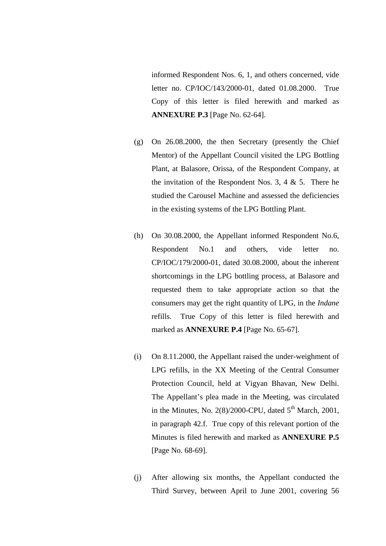informed Respondent Nos. 6, 1, and others concerned, vide letter no. CP/IOC/143/2000-01, dated 01.08.2000. True Copy of this letter is filed herewith and marked as **ANNEXURE P.3** [Page No. 62-64].

- (g) On 26.08.2000, the then Secretary (presently the Chief Mentor) of the Appellant Council visited the LPG Bottling Plant, at Balasore, Orissa, of the Respondent Company, at the invitation of the Respondent Nos. 3, 4  $\&$  5. There he studied the Carousel Machine and assessed the deficiencies in the existing systems of the LPG Bottling Plant.
- (h) On 30.08.2000, the Appellant informed Respondent No.6, Respondent No.1 and others, vide letter no. CP/IOC/179/2000-01, dated 30.08.2000, about the inherent shortcomings in the LPG bottling process, at Balasore and requested them to take appropriate action so that the consumers may get the right quantity of LPG, in the *Indane* refills. True Copy of this letter is filed herewith and marked as **ANNEXURE P.4** [Page No. 65-67].
- (i) On 8.11.2000, the Appellant raised the under-weighment of LPG refills, in the XX Meeting of the Central Consumer Protection Council, held at Vigyan Bhavan, New Delhi. The Appellant's plea made in the Meeting, was circulated in the Minutes, No. 2(8)/2000-CPU, dated  $5<sup>th</sup>$  March, 2001, in paragraph 42.f. True copy of this relevant portion of the Minutes is filed herewith and marked as **ANNEXURE P.5** [Page No. 68-69].
- (j) After allowing six months, the Appellant conducted the Third Survey, between April to June 2001, covering 56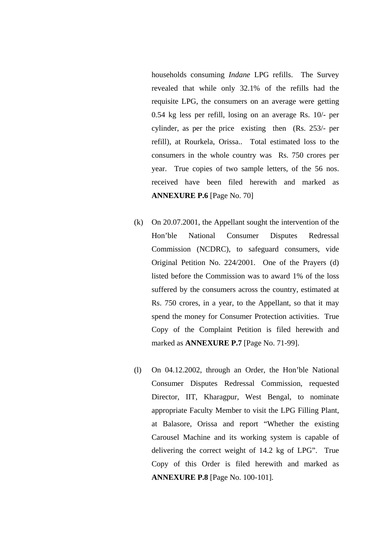households consuming *Indane* LPG refills. The Survey revealed that while only 32.1% of the refills had the requisite LPG, the consumers on an average were getting 0.54 kg less per refill, losing on an average Rs. 10/- per cylinder, as per the price existing then (Rs. 253/- per refill), at Rourkela, Orissa.. Total estimated loss to the consumers in the whole country was Rs. 750 crores per year. True copies of two sample letters, of the 56 nos. received have been filed herewith and marked as **ANNEXURE P.6** [Page No. 70]

- (k) On 20.07.2001, the Appellant sought the intervention of the Hon'ble National Consumer Disputes Redressal Commission (NCDRC), to safeguard consumers, vide Original Petition No. 224/2001. One of the Prayers (d) listed before the Commission was to award 1% of the loss suffered by the consumers across the country, estimated at Rs. 750 crores, in a year, to the Appellant, so that it may spend the money for Consumer Protection activities. True Copy of the Complaint Petition is filed herewith and marked as **ANNEXURE P.7** [Page No. 71-99].
- (l) On 04.12.2002, through an Order, the Hon'ble National Consumer Disputes Redressal Commission, requested Director, IIT, Kharagpur, West Bengal, to nominate appropriate Faculty Member to visit the LPG Filling Plant, at Balasore, Orissa and report "Whether the existing Carousel Machine and its working system is capable of delivering the correct weight of 14.2 kg of LPG". True Copy of this Order is filed herewith and marked as **ANNEXURE P.8** [Page No. 100-101].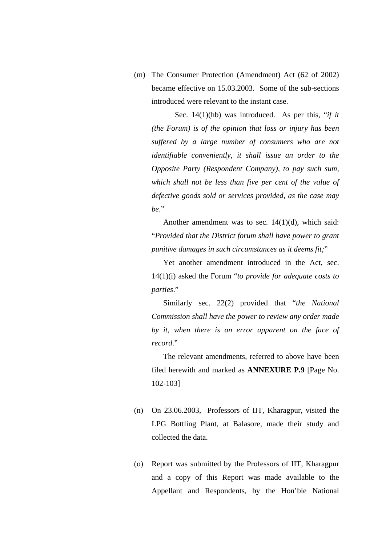(m) The Consumer Protection (Amendment) Act (62 of 2002) became effective on 15.03.2003. Some of the sub-sections introduced were relevant to the instant case.

Sec. 14(1)(hb) was introduced. As per this, "*if it (the Forum) is of the opinion that loss or injury has been suffered by a large number of consumers who are not identifiable conveniently, it shall issue an order to the Opposite Party (Respondent Company), to pay such sum, which shall not be less than five per cent of the value of defective goods sold or services provided, as the case may be*."

Another amendment was to sec.  $14(1)(d)$ , which said: "*Provided that the District forum shall have power to grant punitive damages in such circumstances as it deems fit;*"

Yet another amendment introduced in the Act, sec. 14(1)(i) asked the Forum "*to provide for adequate costs to parties*."

Similarly sec. 22(2) provided that "*the National Commission shall have the power to review any order made by it, when there is an error apparent on the face of record*."

The relevant amendments, referred to above have been filed herewith and marked as **ANNEXURE P.9** [Page No. 102-103]

- (n) On 23.06.2003, Professors of IIT, Kharagpur, visited the LPG Bottling Plant, at Balasore, made their study and collected the data.
- (o) Report was submitted by the Professors of IIT, Kharagpur and a copy of this Report was made available to the Appellant and Respondents, by the Hon'ble National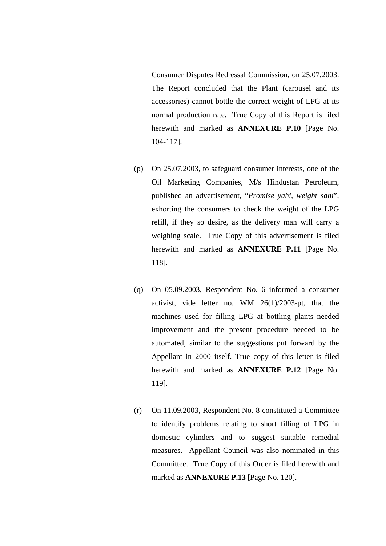Consumer Disputes Redressal Commission, on 25.07.2003. The Report concluded that the Plant (carousel and its accessories) cannot bottle the correct weight of LPG at its normal production rate. True Copy of this Report is filed herewith and marked as **ANNEXURE P.10** [Page No. 104-117].

- (p) On 25.07.2003, to safeguard consumer interests, one of the Oil Marketing Companies, M/s Hindustan Petroleum, published an advertisement, "*Promise yahi, weight sahi*", exhorting the consumers to check the weight of the LPG refill, if they so desire, as the delivery man will carry a weighing scale. True Copy of this advertisement is filed herewith and marked as **ANNEXURE P.11** [Page No. 118].
- (q) On 05.09.2003, Respondent No. 6 informed a consumer activist, vide letter no. WM 26(1)/2003-pt, that the machines used for filling LPG at bottling plants needed improvement and the present procedure needed to be automated, similar to the suggestions put forward by the Appellant in 2000 itself. True copy of this letter is filed herewith and marked as **ANNEXURE P.12** [Page No. 119].
- (r) On 11.09.2003, Respondent No. 8 constituted a Committee to identify problems relating to short filling of LPG in domestic cylinders and to suggest suitable remedial measures. Appellant Council was also nominated in this Committee. True Copy of this Order is filed herewith and marked as **ANNEXURE P.13** [Page No. 120].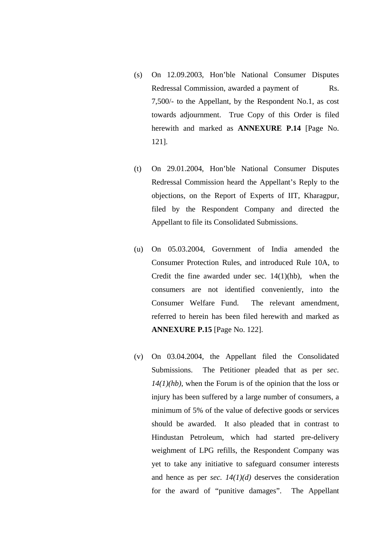- (s) On 12.09.2003, Hon'ble National Consumer Disputes Redressal Commission, awarded a payment of Rs. 7,500/- to the Appellant, by the Respondent No.1, as cost towards adjournment. True Copy of this Order is filed herewith and marked as **ANNEXURE P.14** [Page No. 121].
- (t) On 29.01.2004, Hon'ble National Consumer Disputes Redressal Commission heard the Appellant's Reply to the objections, on the Report of Experts of IIT, Kharagpur, filed by the Respondent Company and directed the Appellant to file its Consolidated Submissions.
- (u) On 05.03.2004, Government of India amended the Consumer Protection Rules, and introduced Rule 10A, to Credit the fine awarded under sec. 14(1)(hb), when the consumers are not identified conveniently, into the Consumer Welfare Fund. The relevant amendment, referred to herein has been filed herewith and marked as **ANNEXURE P.15** [Page No. 122].
- (v) On 03.04.2004, the Appellant filed the Consolidated Submissions. The Petitioner pleaded that as per *sec. 14(1)(hb)*, when the Forum is of the opinion that the loss or injury has been suffered by a large number of consumers, a minimum of 5% of the value of defective goods or services should be awarded. It also pleaded that in contrast to Hindustan Petroleum, which had started pre-delivery weighment of LPG refills, the Respondent Company was yet to take any initiative to safeguard consumer interests and hence as per *sec. 14(1)(d)* deserves the consideration for the award of "punitive damages". The Appellant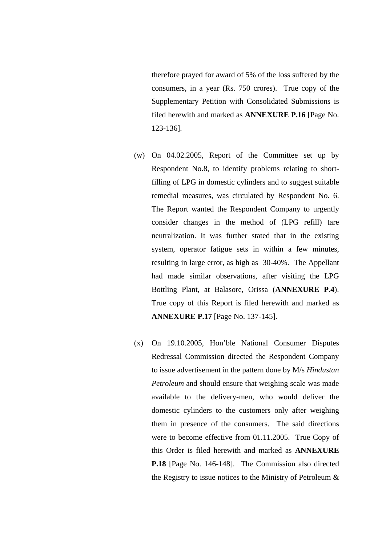therefore prayed for award of 5% of the loss suffered by the consumers, in a year (Rs. 750 crores). True copy of the Supplementary Petition with Consolidated Submissions is filed herewith and marked as **ANNEXURE P.16** [Page No. 123-136].

- (w) On 04.02.2005, Report of the Committee set up by Respondent No.8, to identify problems relating to shortfilling of LPG in domestic cylinders and to suggest suitable remedial measures, was circulated by Respondent No. 6. The Report wanted the Respondent Company to urgently consider changes in the method of (LPG refill) tare neutralization. It was further stated that in the existing system, operator fatigue sets in within a few minutes, resulting in large error, as high as 30-40%. The Appellant had made similar observations, after visiting the LPG Bottling Plant, at Balasore, Orissa (**ANNEXURE P.4**). True copy of this Report is filed herewith and marked as **ANNEXURE P.17** [Page No. 137-145].
- (x) On 19.10.2005, Hon'ble National Consumer Disputes Redressal Commission directed the Respondent Company to issue advertisement in the pattern done by M/s *Hindustan Petroleum* and should ensure that weighing scale was made available to the delivery-men, who would deliver the domestic cylinders to the customers only after weighing them in presence of the consumers. The said directions were to become effective from 01.11.2005. True Copy of this Order is filed herewith and marked as **ANNEXURE P.18** [Page No. 146-148]. The Commission also directed the Registry to issue notices to the Ministry of Petroleum &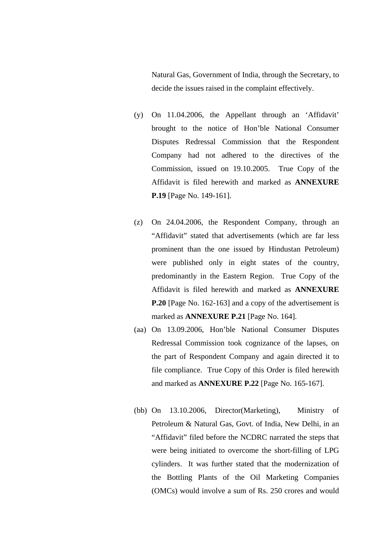Natural Gas, Government of India, through the Secretary, to decide the issues raised in the complaint effectively.

- (y) On 11.04.2006, the Appellant through an 'Affidavit' brought to the notice of Hon'ble National Consumer Disputes Redressal Commission that the Respondent Company had not adhered to the directives of the Commission, issued on 19.10.2005. True Copy of the Affidavit is filed herewith and marked as **ANNEXURE P.19** [Page No. 149-161].
- (z) On 24.04.2006, the Respondent Company, through an "Affidavit" stated that advertisements (which are far less prominent than the one issued by Hindustan Petroleum) were published only in eight states of the country, predominantly in the Eastern Region. True Copy of the Affidavit is filed herewith and marked as **ANNEXURE P.20** [Page No. 162-163] and a copy of the advertisement is marked as **ANNEXURE P.21** [Page No. 164].
- (aa) On 13.09.2006, Hon'ble National Consumer Disputes Redressal Commission took cognizance of the lapses, on the part of Respondent Company and again directed it to file compliance. True Copy of this Order is filed herewith and marked as **ANNEXURE P.22** [Page No. 165-167].
- (bb) On 13.10.2006, Director(Marketing), Ministry of Petroleum & Natural Gas, Govt. of India, New Delhi, in an "Affidavit" filed before the NCDRC narrated the steps that were being initiated to overcome the short-filling of LPG cylinders. It was further stated that the modernization of the Bottling Plants of the Oil Marketing Companies (OMCs) would involve a sum of Rs. 250 crores and would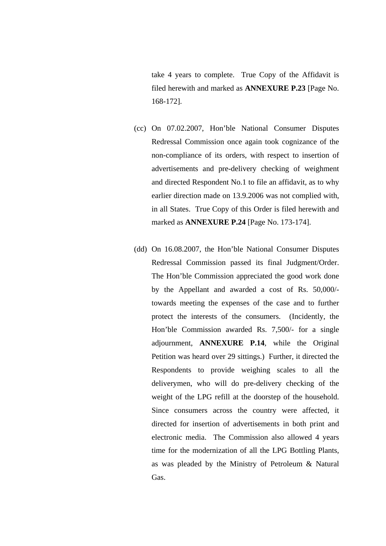take 4 years to complete. True Copy of the Affidavit is filed herewith and marked as **ANNEXURE P.23** [Page No. 168-172].

- (cc) On 07.02.2007, Hon'ble National Consumer Disputes Redressal Commission once again took cognizance of the non-compliance of its orders, with respect to insertion of advertisements and pre-delivery checking of weighment and directed Respondent No.1 to file an affidavit, as to why earlier direction made on 13.9.2006 was not complied with, in all States. True Copy of this Order is filed herewith and marked as **ANNEXURE P.24** [Page No. 173-174].
- (dd) On 16.08.2007, the Hon'ble National Consumer Disputes Redressal Commission passed its final Judgment/Order. The Hon'ble Commission appreciated the good work done by the Appellant and awarded a cost of Rs. 50,000/ towards meeting the expenses of the case and to further protect the interests of the consumers. (Incidently, the Hon'ble Commission awarded Rs. 7,500/- for a single adjournment, **ANNEXURE P.14**, while the Original Petition was heard over 29 sittings.) Further, it directed the Respondents to provide weighing scales to all the deliverymen, who will do pre-delivery checking of the weight of the LPG refill at the doorstep of the household. Since consumers across the country were affected, it directed for insertion of advertisements in both print and electronic media. The Commission also allowed 4 years time for the modernization of all the LPG Bottling Plants, as was pleaded by the Ministry of Petroleum & Natural Gas.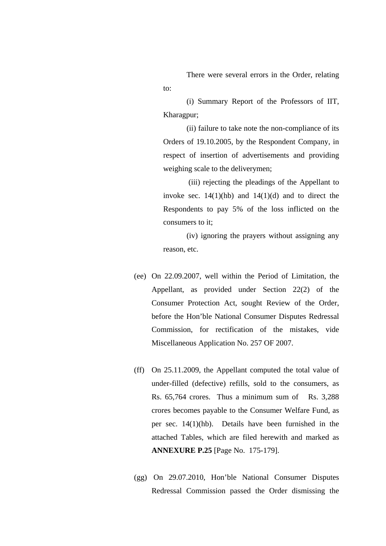There were several errors in the Order, relating to:

(i) Summary Report of the Professors of IIT, Kharagpur;

(ii) failure to take note the non-compliance of its Orders of 19.10.2005, by the Respondent Company, in respect of insertion of advertisements and providing weighing scale to the deliverymen;

(iii) rejecting the pleadings of the Appellant to invoke sec.  $14(1)(hb)$  and  $14(1)(d)$  and to direct the Respondents to pay 5% of the loss inflicted on the consumers to it;

(iv) ignoring the prayers without assigning any reason, etc.

- (ee) On 22.09.2007, well within the Period of Limitation, the Appellant, as provided under Section 22(2) of the Consumer Protection Act, sought Review of the Order, before the Hon'ble National Consumer Disputes Redressal Commission, for rectification of the mistakes, vide Miscellaneous Application No. 257 OF 2007.
- (ff) On 25.11.2009, the Appellant computed the total value of under-filled (defective) refills, sold to the consumers, as Rs. 65,764 crores. Thus a minimum sum of Rs. 3,288 crores becomes payable to the Consumer Welfare Fund, as per sec. 14(1)(hb). Details have been furnished in the attached Tables, which are filed herewith and marked as **ANNEXURE P.25** [Page No. 175-179].
- (gg) On 29.07.2010, Hon'ble National Consumer Disputes Redressal Commission passed the Order dismissing the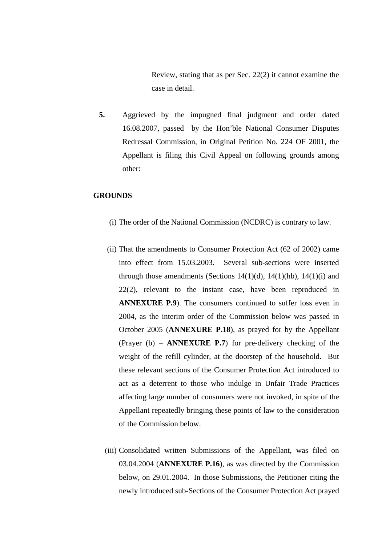Review, stating that as per Sec. 22(2) it cannot examine the case in detail.

**5.** Aggrieved by the impugned final judgment and order dated 16.08.2007, passed by the Hon'ble National Consumer Disputes Redressal Commission, in Original Petition No. 224 OF 2001, the Appellant is filing this Civil Appeal on following grounds among other:

#### **GROUNDS**

- (i) The order of the National Commission (NCDRC) is contrary to law.
- (ii) That the amendments to Consumer Protection Act (62 of 2002) came into effect from 15.03.2003. Several sub-sections were inserted through those amendments (Sections  $14(1)(d)$ ,  $14(1)(hb)$ ,  $14(1)(i)$  and 22(2), relevant to the instant case, have been reproduced in **ANNEXURE P.9**). The consumers continued to suffer loss even in 2004, as the interim order of the Commission below was passed in October 2005 (**ANNEXURE P.18**), as prayed for by the Appellant (Prayer (b) – **ANNEXURE P.7**) for pre-delivery checking of the weight of the refill cylinder, at the doorstep of the household. But these relevant sections of the Consumer Protection Act introduced to act as a deterrent to those who indulge in Unfair Trade Practices affecting large number of consumers were not invoked, in spite of the Appellant repeatedly bringing these points of law to the consideration of the Commission below.
- (iii) Consolidated written Submissions of the Appellant, was filed on 03.04.2004 (**ANNEXURE P.16**), as was directed by the Commission below, on 29.01.2004. In those Submissions, the Petitioner citing the newly introduced sub-Sections of the Consumer Protection Act prayed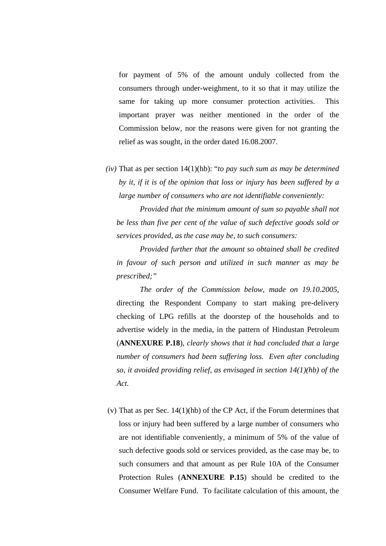for payment of 5% of the amount unduly collected from the consumers through under-weighment, to it so that it may utilize the same for taking up more consumer protection activities. This important prayer was neither mentioned in the order of the Commission below, nor the reasons were given for not granting the relief as was sought, in the order dated 16.08.2007.

*(iv)* That as per section 14(1)(hb): "*to pay such sum as may be determined by it, if it is of the opinion that loss or injury has been suffered by a large number of consumers who are not identifiable conveniently:* 

*Provided that the minimum amount of sum so payable shall not be less than five per cent of the value of such defective goods sold or services provided, as the case may be, to such consumers:*

*Provided further that the amount so obtained shall be credited in favour of such person and utilized in such manner as may be prescribed;"*

*The order of the Commission below, made on 19.10.2005*, directing the Respondent Company to start making pre-delivery checking of LPG refills at the doorstep of the households and to advertise widely in the media, in the pattern of Hindustan Petroleum (**ANNEXURE P.18**), *clearly shows that it had concluded that a large number of consumers had been suffering loss. Even after concluding so, it avoided providing relief, as envisaged in section 14(1)(hb) of the Act.*

(v) That as per Sec. 14(1)(hb) of the CP Act, if the Forum determines that loss or injury had been suffered by a large number of consumers who are not identifiable conveniently, a minimum of 5% of the value of such defective goods sold or services provided, as the case may be, to such consumers and that amount as per Rule 10A of the Consumer Protection Rules (**ANNEXURE P.15**) should be credited to the Consumer Welfare Fund. To facilitate calculation of this amount, the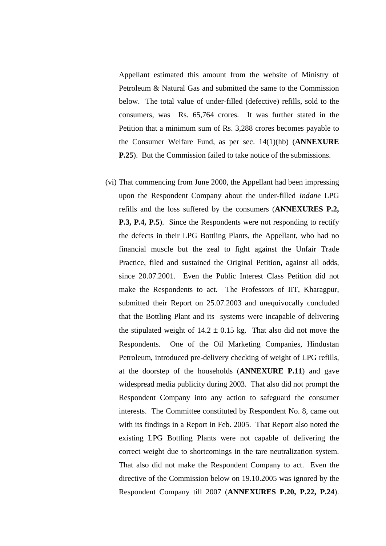Appellant estimated this amount from the website of Ministry of Petroleum & Natural Gas and submitted the same to the Commission below. The total value of under-filled (defective) refills, sold to the consumers, was Rs. 65,764 crores. It was further stated in the Petition that a minimum sum of Rs. 3,288 crores becomes payable to the Consumer Welfare Fund, as per sec. 14(1)(hb) (**ANNEXURE P.25**). But the Commission failed to take notice of the submissions.

(vi) That commencing from June 2000, the Appellant had been impressing upon the Respondent Company about the under-filled *Indane* LPG refills and the loss suffered by the consumers (**ANNEXURES P.2, P.3, P.4, P.5**). Since the Respondents were not responding to rectify the defects in their LPG Bottling Plants, the Appellant, who had no financial muscle but the zeal to fight against the Unfair Trade Practice, filed and sustained the Original Petition, against all odds, since 20.07.2001. Even the Public Interest Class Petition did not make the Respondents to act. The Professors of IIT, Kharagpur, submitted their Report on 25.07.2003 and unequivocally concluded that the Bottling Plant and its systems were incapable of delivering the stipulated weight of  $14.2 \pm 0.15$  kg. That also did not move the Respondents. One of the Oil Marketing Companies, Hindustan Petroleum, introduced pre-delivery checking of weight of LPG refills, at the doorstep of the households (**ANNEXURE P.11**) and gave widespread media publicity during 2003. That also did not prompt the Respondent Company into any action to safeguard the consumer interests. The Committee constituted by Respondent No. 8, came out with its findings in a Report in Feb. 2005. That Report also noted the existing LPG Bottling Plants were not capable of delivering the correct weight due to shortcomings in the tare neutralization system. That also did not make the Respondent Company to act. Even the directive of the Commission below on 19.10.2005 was ignored by the Respondent Company till 2007 (**ANNEXURES P.20, P.22, P.24**).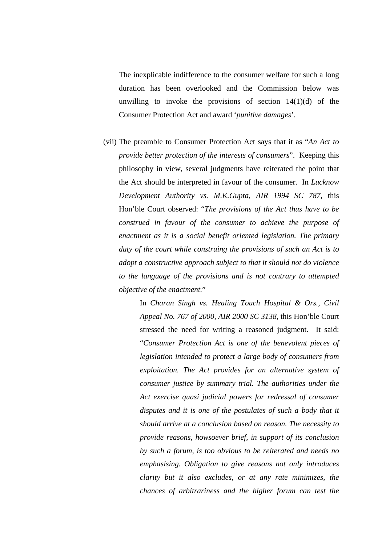The inexplicable indifference to the consumer welfare for such a long duration has been overlooked and the Commission below was unwilling to invoke the provisions of section  $14(1)(d)$  of the Consumer Protection Act and award '*punitive damages*'.

(vii) The preamble to Consumer Protection Act says that it as "*An Act to provide better protection of the interests of consumers*". Keeping this philosophy in view, several judgments have reiterated the point that the Act should be interpreted in favour of the consumer. In *Lucknow Development Authority vs. M.K.Gupta, AIR 1994 SC 787*, this Hon'ble Court observed: "*The provisions of the Act thus have to be construed in favour of the consumer to achieve the purpose of enactment as it is a social benefit oriented legislation. The primary duty of the court while construing the provisions of such an Act is to adopt a constructive approach subject to that it should not do violence to the language of the provisions and is not contrary to attempted objective of the enactment.*"

> In *Charan Singh vs. Healing Touch Hospital & Ors., Civil Appeal No. 767 of 2000, AIR 2000 SC 3138*, this Hon'ble Court stressed the need for writing a reasoned judgment. It said: "*Consumer Protection Act is one of the benevolent pieces of legislation intended to protect a large body of consumers from exploitation. The Act provides for an alternative system of consumer justice by summary trial. The authorities under the Act exercise quasi judicial powers for redressal of consumer disputes and it is one of the postulates of such a body that it should arrive at a conclusion based on reason. The necessity to provide reasons, howsoever brief, in support of its conclusion by such a forum, is too obvious to be reiterated and needs no emphasising. Obligation to give reasons not only introduces clarity but it also excludes, or at any rate minimizes, the chances of arbitrariness and the higher forum can test the*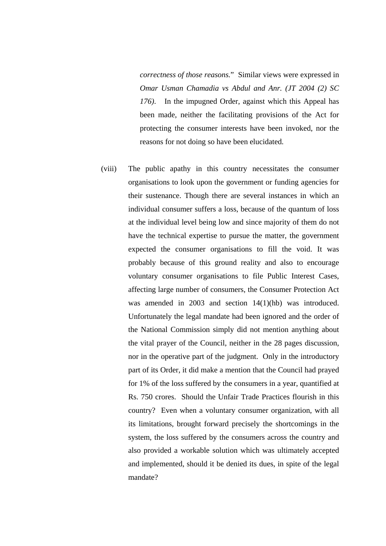*correctness of those reasons.*" Similar views were expressed in *Omar Usman Chamadia vs Abdul and Anr. (JT 2004 (2) SC 176)*. In the impugned Order, against which this Appeal has been made, neither the facilitating provisions of the Act for protecting the consumer interests have been invoked, nor the reasons for not doing so have been elucidated.

(viii) The public apathy in this country necessitates the consumer organisations to look upon the government or funding agencies for their sustenance. Though there are several instances in which an individual consumer suffers a loss, because of the quantum of loss at the individual level being low and since majority of them do not have the technical expertise to pursue the matter, the government expected the consumer organisations to fill the void. It was probably because of this ground reality and also to encourage voluntary consumer organisations to file Public Interest Cases, affecting large number of consumers, the Consumer Protection Act was amended in 2003 and section 14(1)(hb) was introduced. Unfortunately the legal mandate had been ignored and the order of the National Commission simply did not mention anything about the vital prayer of the Council, neither in the 28 pages discussion, nor in the operative part of the judgment. Only in the introductory part of its Order, it did make a mention that the Council had prayed for 1% of the loss suffered by the consumers in a year, quantified at Rs. 750 crores. Should the Unfair Trade Practices flourish in this country? Even when a voluntary consumer organization, with all its limitations, brought forward precisely the shortcomings in the system, the loss suffered by the consumers across the country and also provided a workable solution which was ultimately accepted and implemented, should it be denied its dues, in spite of the legal mandate?